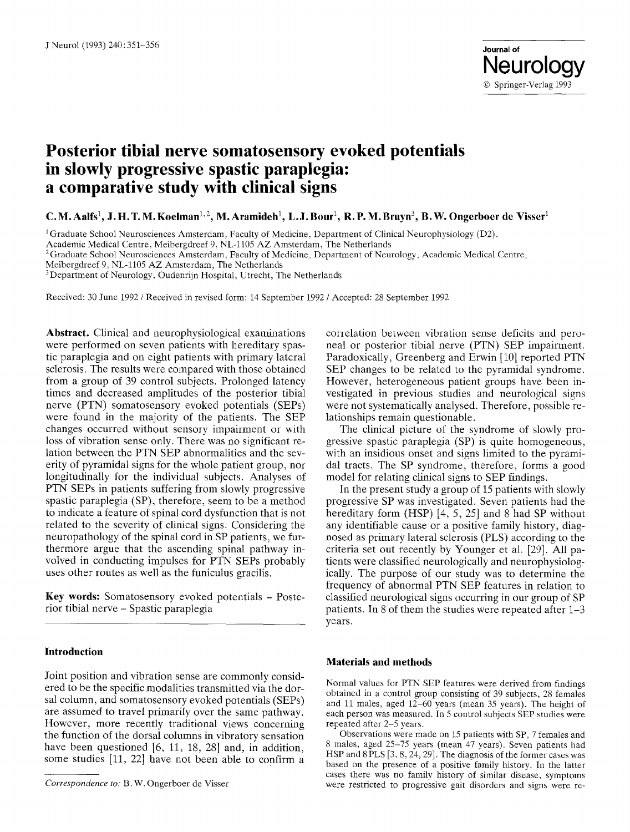# **Posterior tibial nerve somatosensory evoked potentials in slowly progressive spastic paraplegia: a comparative study with clinical signs**

**C. M. Aalfs<sup>1</sup>, J. H. T. M. Koelman<sup>1, 2</sup>, M. Aramideh<sup>1</sup>, L. J. Bour<sup>1</sup>, R. P. M. Bruyn<sup>3</sup>, B. W. Ongerboer de Visser<sup>1</sup>** 

<sup>1</sup>Graduate School Neurosciences Amsterdam, Faculty of Medicine, Department of Clinical Neurophysiology (D2),

Academic Medical Centre, Meibergdreef 9, NL-1105 AZ Amsterdam, The Netherlands

<sup>2</sup> Graduate School Neurosciences Amsterdam, Faculty of Medicine, Department of Neurology, Academic Medical Centre,

Meibergdreef 9, NL-1105 AZ Amsterdam, The Netherlands

<sup>3</sup>Department of Neurology, Oudenrijn Hospital, Utrecht, The Netherlands

Received: 30 June 1992 / Received in revised form: 14 September 1992 / Accepted: 28 September 1992

**Abstract.** Clinical and neurophysiological examinations were performed on seven patients with hereditary spastic paraplegia and on eight patients with primary lateral sclerosis. The results were compared with those obtained from a group of 39 control subjects. Prolonged latency times and decreased amplitudes of the posterior tibial nerve (PTN) somatosensory evoked potentials (SEPs) were found in the majority of the patients. The SEP changes occurred without sensory impairment or with loss of vibration sense only. There was no significant relation between the PTN SEP abnormalities and the severity of pyramidal signs for the whole patient group, nor longitudinally for the individual subjects. Analyses of PTN SEPs in patients suffering from slowly progressive spastic paraplegia (SP), therefore, seem to be a method to indicate a feature of spinal cord dysfunction that is not related to the severity of clinical signs. Considering the neuropathology of the spinal cord in SP patients, we furthermore argue that the ascending spinal pathway involved in conducting impulses for PTN SEPs probably uses other routes as well as the funiculus gracilis.

**Key words:** Somatosensory evoked potentials - Posterior tibial nerve - Spastic paraplegia

### **Introduction**

Joint position and vibration sense are commonly considered to be the specific modalities transmitted via the dorsal column, and somatosensory evoked potentials (SEPs) are assumed to travel primarily over the same pathway. However, more recently traditional views concerning the function of the dorsal columns in vibratory sensation have been questioned [6, 11, 18, 28] and, in addition, some studies [11, 22] have not been able to confirm a

correlation between vibration sense deficits and peroneal or posterior tibial nerve (PTN) SEP impairment. Paradoxically, Greenberg and Erwin [10] reported PTN SEP changes to be related to the pyramidal syndrome. However, heterogeneous patient groups have been investigated in previous studies and neurological signs were not systematically analysed. Therefore, possible relationships remain questionable.

The clinical picture of the syndrome of slowly progressive spastic paraplegia (SP) is quite homogeneous, with an insidious onset and signs limited to the pyramidal tracts. The SP syndrome, therefore, forms a good model for relating clinical signs to SEP findings.

In the present study a group of 15 patients with slowly progressive SP was investigated. Seven patients had the hereditary form (HSP) [4, 5, 25] and 8 had SP without any identifiable cause or a positive family history, diagnosed as primary lateral sclerosis (PLS) according to the criteria set out recently by Younger et al. [29]. All patients were classified neurologically and neurophysiologically. The purpose of our study was to determine the frequency of abnormal PTN SEP features in relation to classified neurological signs occurring in our group of SP patients. In 8 of them the studies were repeated after 1-3 years.

#### **Materials and methods**

Normal values for PTN SEP features were derived from findings obtained in a control group consisting of 39 subjects, 28 females and 11 males, aged 12-60 years (mean 35 years). The height of each person was measured. In 5 control subjects SEP studies were repeated after 2-5 years.

Observations were made on 15 patients with SP, 7 females and 8 males, aged 25-75 years (mean 47 years). Seven patients had HSP and 8 PLS [3, 8, 24, 29]. The diagnosis of the former cases was based on the presence of a positive family history. In the latter cases there was no family history of similar disease, symptoms were restricted to progressive gait disorders and signs were re-

*Correspondence to:* B. W. Ongerboer de Visser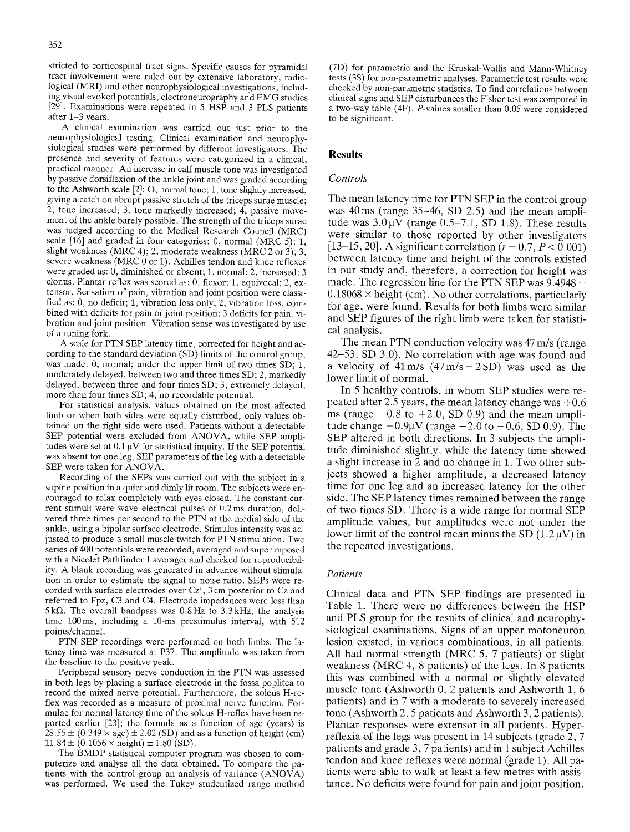stricted to corticospinal tract signs. Specific causes for pyramidal tract involvement were ruled out by extensive laboratory, radiological (MRI) and other neurophysiological investigations, including visual evoked potentials, electroneurography and EMG studies [29]. Examinations were repeated in 5 HSP and 3 PLS patients after 1-3 years.

A clinical examination was carried out just prior to the neurophysiological testing. Clinical examination and neurophysiological studies were performed by different investigators. The presence and severity of features were categorized in a clinical, practical manner. An increase in calf muscle tone was investigated by passive dorsiflexion of the ankle joint and was graded according to the Ashworth scale [2]: O, normal tone; 1, tone slightly increased, giving a catch on abrupt passive stretch of the triceps surae muscle; 2, tone increased; 3, tone markedly increased; 4, passive movement of the ankle barely possible. The strength of the triceps surae was judged according to the Medical Research Council (MRC) scale [16] and graded in four categories: 0, normal (MRC 5); 1, slight weakness (MRC 4); 2, moderate weakness (MRC 2 or 3); 3, severe weakness (MRC 0 or 1). Achilles tendon and knee reflexes were graded as: 0, diminished or absent; 1, normal; 2, increased; 3 clonus. Plantar reflex was scored as: 0, flexor; 1, equivocal; 2, extensor. Sensation of pain, vibration and joint position were classified as: 0, no deficit; 1, vibration loss only; 2, vibration loss, combined with deficits for pain or joint position; 3 deficits for pain, vibration and joint position. Vibration sense was investigated by use of a tuning fork.

A scale for PTN SEP latency time, corrected for height and according to the standard deviation (SD) limits of the control group, was made: 0, normal; under the upper limit of two times SD; 1, moderately delayed, between two and three times SD; 2, markedly delayed, between three and four times SD; 3, extremely delayed, more than four times SD; 4, no recordable potential.

For statistical analysis, values obtained on the most affected limb or when both sides were equally disturbed, only values obtained on the right side were used. Patients without a detectable SEP potential were excluded from ANOVA, while SEP amplitudes were set at  $0.1 \mu$ V for statistical inquiry. If the SEP potential was absent for one leg, SEP parameters of the leg with a detectable SEP were taken for ANOVA.

Recording of the SEPs was carried out with the subject in a supine position in a quiet and dimly lit room. The subjects were encouraged to relax completely with eyes closed. The constant current stimuli were wave electrical pulses of 0.2 ms duration, delivered three times per second to the PTN at the medial side of the ankle, using a bipolar surface electrode. Stimulus intensity was adjusted to produce a small muscle twitch for PTN stimulation. Two series of 400 potentials were recorded, averaged and superimposed with a Nicolet Pathfinder 1 averager and checked for reproducibility. A blank recording was generated in advance without stimulation in order to estimate the signal to noise ratio. SEPs were recorded with surface electrodes over Cz', 3 cm posterior to Cz and referred to Fpz, C3 and C4. Electrode impedances were less than  $5k\Omega$ . The overall bandpass was 0.8Hz to 3.3kHz, the analysis time 100 ms, including a 10-ms prestimulus interval, with 512 points/channel.

PTN SEP recordings were performed on both limbs. The latency time was measured at P37. The amplitude was taken from the baseline to the positive peak.

Peripheral sensory nerve conduction in the PTN was assessed in both legs by placing a surface electrode in the fossa poplitea to record the mixed nerve potential. Furthermore, the soleus H-reflex was recorded as a measure of proximal nerve function. Formulae for normal latency time of the soleus H-reflex have been reported earlier [23]; the formula as a function of age (years) is  $28.55 \pm (0.349 \times \text{age}) \pm 2.02 \text{ (SD)}$  and as a function of height (cm)  $11.84 \pm (0.1056 \times \text{height}) \pm 1.80 \text{ (SD)}.$ 

The BMDP statistical computer program was chosen to computerize and analyse all the data obtained. To compare the patients with the control group an analysis of variance (ANOVA) was performed. We used the Tukey studentized range method (7D) for parametric and the Kruskal-Wallis and Mann-Whitney tests (3S) for non-parametric analyses. Parametric test results were checked by non-parametric statistics. To find correlations between clinical signs and SEP disturbances the Fisher test was computed in a two-way table (4F). P-values smaller than 0.05 were considered to be significant.

## **Results**

## *Con~o&*

The mean latency time for PTN SEP in the control group was 40ms (range 35-46, SD 2.5) and the mean amplitude was  $3.0\,\mu\overline{V}$  (range 0.5-7.1, SD 1.8). These results were similar to those reported by other investigators [13–15, 20]. A significant correlation  $(r = 0.7, P < 0.001)$ between latency time and height of the controls existed in our study and, therefore, a correction for height was made. The regression line for the PTN SEP was 9.4948 +  $0.18068 \times$  height (cm). No other correlations, particularly for age, were found. Results for both limbs were similar and SEP figures of the right limb were taken for statistical analysis.

The mean PTN conduction velocity was 47 m/s (range 42-53, SD 3.0). No correlation with age was found and a velocity of  $41 \text{ m/s}$  ( $47 \text{ m/s} - 2 \text{ SD}$ ) was used as the lower limit of normal.

In 5 healthy controls, in whom SEP studies were repeated after 2.5 years, the mean latency change was  $+0.6$ ms (range  $-0.8$  to  $+2.0$ , SD 0.9) and the mean amplitude change  $-0.9{\mu}V$  (range  $-2.0$  to  $+0.6$ , SD 0.9). The SEP altered in both directions. In 3 subjects the amplitude diminished slightly, while the latency time showed a slight increase in  $\overline{2}$  and no change in 1. Two other subjects showed a higher amplitude, a decreased latency time for one leg and an increased latency for the other side. The SEP latency times remained between the range of two times SD. There is a wide range for normal SEP amplitude values, but amplitudes were not under the lower limit of the control mean minus the SD  $(1.2 \mu V)$  in the repeated investigations.

## *Patients*

Clinical data and PTN SEP findings are presented in Table 1. There were no differences between the HSP and PLS group for the results of clinical and neurophysiological examinations. Signs of an upper motoneuron lesion existed, in various combinations, in all patients. All had normal strength (MRC 5, 7 patients) or slight weakness (MRC 4, 8 patients) of the legs. In 8 patients this was combined with a normal or slightly elevated muscle tone (Ashworth 0, 2 patients and Ashworth 1, 6 patients) and in 7 with a moderate to severely increased tone (Ashworth 2, 5 patients and Ashworth 3, 2 patients). Plantar responses were extensor in all patients. Hyperreflexia of the legs was present in 14 subjects (grade 2, 7 patients and grade 3, 7 patients) and in 1 subject Achilles tendon and knee reflexes were normal (grade 1). All patients were able to walk at least a few metres with assistance. No deficits were found for pain and joint position.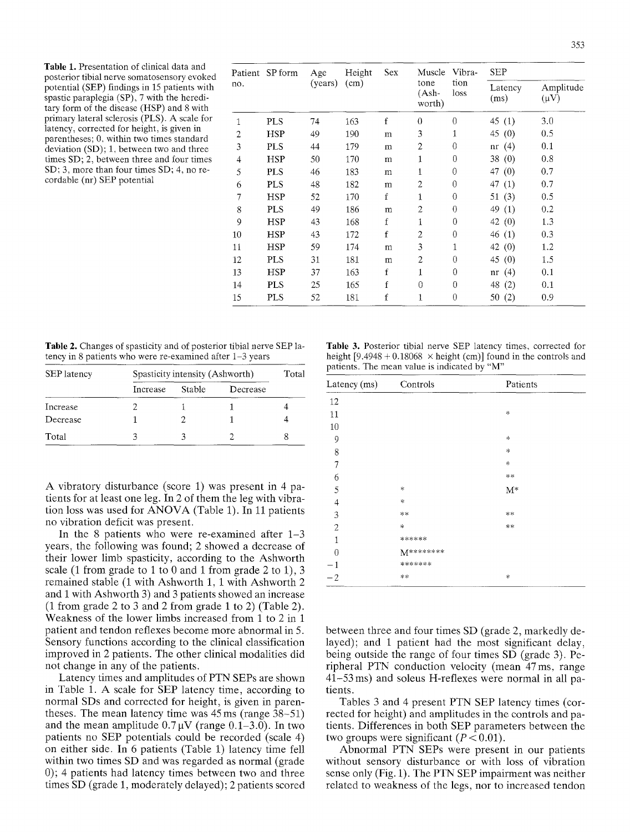Table 1. Presentation of clinical data and posterior tibial nerve somatosensory evoked potential (SEP) findings in 15 patients with spastic paraplegia (SP), 7 with the hereditary form of the disease (HSP) and 8 with primary lateral sclerosis (PLS). A scale for latency, corrected for height, is given in parentheses; 0, within two times standard deviation (SD); 1, between two and three times SD; 2, between three and four times SD; 3, more than four times SD; 4, no recordable (nr) SEP potential

| no.            | Patient SP form | Age<br>(years) | Height<br>(cm) | Sex | Muscle<br>tone<br>(Ash-<br>worth) | Vibra-<br>tion<br>loss | <b>SEP</b>      |                        |
|----------------|-----------------|----------------|----------------|-----|-----------------------------------|------------------------|-----------------|------------------------|
|                |                 |                |                |     |                                   |                        | Latency<br>(ms) | Amplitude<br>$(\mu V)$ |
| 1              | <b>PLS</b>      | 74             | 163            | f   | $\theta$                          | $\theta$               | 45 $(1)$        | 3.0                    |
| $\overline{c}$ | <b>HSP</b>      | 49             | 190            | m   | 3                                 | 1                      | 45 (0)          | 0.5                    |
| 3              | <b>PLS</b>      | 44             | 179            | m   | $\overline{c}$                    | 0                      | nr(4)           | 0.1                    |
| 4              | <b>HSP</b>      | 50             | 170            | m   | 1                                 | $\theta$               | 38(0)           | 0.8                    |
| 5              | <b>PLS</b>      | 46             | 183            | m   | 1                                 | $\theta$               | 47 $(0)$        | 0.7                    |
| 6              | <b>PLS</b>      | 48             | 182            | m   | 2                                 | $\theta$               | 47 (1)          | 0.7                    |
| 7              | HSP             | 52             | 170            | f   | 1                                 | $\theta$               | 51 $(3)$        | 0.5                    |
| 8              | <b>PLS</b>      | 49             | 186            | m   | $\overline{c}$                    | $\Omega$               | 49<br>(1)       | 0.2                    |
| 9              | <b>HSP</b>      | 43             | 168            | f   | 1                                 | $\theta$               | 42 $(0)$        | 1.3                    |
| 10             | <b>HSP</b>      | 43             | 172            | f   | 2                                 | $\theta$               | 46 (1)          | 0.3                    |
| 11             | <b>HSP</b>      | 59             | 174            | m   | 3                                 | 1                      | 42 (0)          | 1.2                    |
| 12             | <b>PLS</b>      | 31             | 181            | m   | 2                                 | $\theta$               | 45 (0)          | 1.5                    |
| 13             | <b>HSP</b>      | 37             | 163            | f   | 1                                 | 0                      | nr $(4)$        | 0.1                    |
| 14             | <b>PLS</b>      | 25             | 165            | f   | $\overline{0}$                    | 0                      | 48 (2)          | 0.1                    |
| 15             | <b>PLS</b>      | 52             | 181            | f   | 1                                 | $\theta$               | 50(2)           | 0.9                    |

Table 2. Changes of spasticity and of posterior tibial nerve SEP latency in 8 patients who were re-examined after 1-3 years

| <b>SEP</b> latency | Spasticity intensity (Ashworth) | Total  |          |  |
|--------------------|---------------------------------|--------|----------|--|
|                    | Increase                        | Stable | Decrease |  |
| Increase           |                                 |        |          |  |
| Decrease           |                                 |        |          |  |
| Total              |                                 |        |          |  |

A vibratory disturbance (score 1) was present in 4 patients for at least one leg. In 2 of them the leg with vibration loss was used for ANOVA (Table 1). In 11 patients no vibration deficit was present.

In the 8 patients who were re-examined after  $1-3$ years, the following was found; 2 showed a decrease of their lower limb spasticity, according to the Ashworth scale (1 from grade to 1 to 0 and 1 from grade 2 to 1), 3 remained stable (1 with Ashworth 1, 1 with Ashworth 2 and 1 with Ashworth 3) and 3 patients showed an increase (1 from grade 2 to 3 and 2 from grade 1 to 2) (Table 2). Weakness of the lower limbs increased from 1 to 2 in 1 patient and tendon reflexes become more abnormal in 5. Sensory functions according to the clinical classification improved in 2 patients. The other clinical modalities did not change in any of the patients.

Latency times and amplitudes of PTN SEPs are shown in Table 1. A scale for SEP latency time, according to normal SDs and corrected for height, is given in parentheses. The mean latency time was 45 ms (range 38-51) and the mean amplitude  $0.7 \mu V$  (range  $0.1-3.0$ ). In two patients no SEP potentials could be recorded (scale 4) on either side. In 6 patients (Table 1) latency time fell within two times SD and was regarded as normal (grade 0); 4 patients had latency times between two and three times SD (grade 1, moderately delayed); 2 patients scored

Table 3. Posterior tibial nerve SEP latency times, corrected for height  $[9.4948 + 0.18068 \times \text{height (cm)}]$  found in the controls and patients. The mean value is indicated by "M"

| Latency (ms)   | Controls  | Patients           |  |
|----------------|-----------|--------------------|--|
| 12             |           |                    |  |
| 11             |           | *                  |  |
| 10             |           |                    |  |
| 9              |           | $\ast$             |  |
| 8              |           | $\ast$             |  |
| 7              |           | $\ast$             |  |
| 6              |           | $\approx$ $\times$ |  |
| 5              | *         | $\mathbf{M}^*$     |  |
| $\overline{4}$ | $\ast$    |                    |  |
| 3              | **        | $**$               |  |
| $\overline{2}$ | *         | **                 |  |
| $\mathbf{1}$   | ******    |                    |  |
| $\overline{0}$ | M******** |                    |  |
| $^{-1}$        | *******   |                    |  |
| $-2$           | $**$      | $\ast$             |  |

between three and four times SD (grade 2, markedly delayed); and 1 patient had the most significant delay, being outside the range of four times SD (grade 3). Peripheral PTN conduction velocity (mean 47ms, range 41-53 ms) and soleus H-reflexes were normal in all patients.

Tables 3 and 4 present PTN SEP latency times (corrected for height) and amplitudes in the controls and patients. Differences in both SEP parameters between the two groups were significant  $(P < 0.01)$ .

Abnormal PTN SEPs were present in our patients without sensory disturbance or with loss of vibration sense only (Fig. 1). The PTN SEP impairment was neither related to weakness of the legs, nor to increased tendon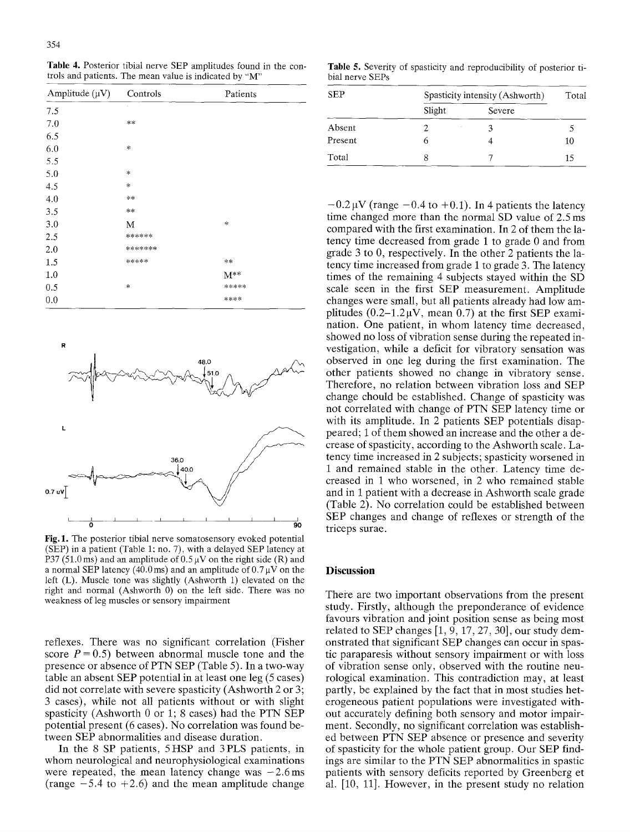**Table** 4. Posterior tibial nerve SEP amplitudes found in the controls and patients. The mean value is indicated by "M"

| Amplitude $(\mu V)$ | Controls | Patients |
|---------------------|----------|----------|
| 7.5                 |          |          |
| 7.0                 | **       |          |
| 6.5                 |          |          |
| 6.0                 | *        |          |
| 5.5                 |          |          |
| 5.0                 | $\ast$   |          |
| 4.5                 | *        |          |
| 4.0                 | **       |          |
| 3.5                 | $**$     |          |
| 3.0                 | M        | $\ast$   |
| 2.5                 | ******   |          |
| 2.0                 | *******  |          |
| 1.5                 | *****    | **       |
| 1.0                 |          | $M^{**}$ |
| 0.5                 | *        | *****    |
| 0.0                 |          | ****     |



**Fig.** 1. The posterior tibial nerve somatosensory evoked potential (SEP) in a patient (Table 1; no. 7), with a delayed SEP latency at P37 (51.0 ms) and an amplitude of  $0.5 \mu V$  on the right side (R) and a normal SEP latency (40.0ms) and an amplitude of  $0.7 \mu$ V on the left (L). Muscle tone was slightly (Ashworth 1) elevated on the right and normal (Ashworth 0) on the left side. There was no weakness of leg muscles or sensory impairment

reflexes. There was no significant correlation (Fisher score  $P = 0.5$ ) between abnormal muscle tone and the presence or absence of PTN SEP (Table 5). In a two-way table an absent SEP potential in at least one leg (5 cases) did not correlate with severe spasticity (Ashworth 2 or 3; 3 cases), while not all patients without or with slight spasticity (Ashworth 0 or 1; 8 cases) had the PTN SEP potential present (6 cases). No correlation was found between SEP abnormalities and disease duration.

In the 8 SP patients, 5HSP and 3PLS patients, in whom neurological and neurophysiological examinations were repeated, the mean latency change was  $-2.6 \text{ ms}$ (range  $-5.4$  to  $+2.6$ ) and the mean amplitude change

**Table** 5. Severity of spasticity and reproducibility of posterior tibial nerve SEPs

| SEP     | Spasticity intensity (Ashworth) |        |    |
|---------|---------------------------------|--------|----|
|         | Slight                          | Severe |    |
| Absent  |                                 |        |    |
| Present | n                               |        | 10 |
| Total   | 8                               |        | 15 |

 $-0.2 \mu V$  (range  $-0.4$  to  $+0.1$ ). In 4 patients the latency time changed more than the normal SD value of 2.5 ms compared with the first examination. In 2 of them the latency time decreased from grade 1 to grade 0 and from grade 3 to 0, respectively. In the other 2 patients the latency time increased from grade 1 to grade 3. The latency times of the remaining 4 subjects stayed within the SD scale seen in the first SEP measurement. Amplitude changes were small, but all patients already had low amplitudes  $(0.2-1.2\mu V$ , mean 0.7) at the first SEP examination. One patient, in whom latency time decreased, showed no loss of vibration sense during the repeated investigation, while a deficit for vibratory sensation was observed in one leg during the first examination. The other patients showed no change in vibratory sense. Therefore, no relation between vibration loss and SEP change chould be established. Change of spasticity was not correlated with change of PTN SEP latency time or with its amplitude. In 2 patients SEP potentials disappeared; 1 of them showed an increase and the other a decrease of spasticity, according to the Ashworth scale. Latency time increased in 2 subjects; spasticity worsened in 1 and remained stable in the other. Latency time decreased in 1 who worsened, in 2 who remained stable and in I patient with a decrease in Ashworth scale grade (Table 2). No correlation could be established between SEP changes and change of reflexes or strength of the triceps surae.

#### **Discussion**

There are two important observations from the present study. Firstly, although the preponderance of evidence favours vibration and joint position sense as being most related to SEP changes  $[1, 9, 17, 27, 30]$ , our study demonstrated that significant SEP changes can occur in spastic paraparesis without sensory impairment or with loss of vibration sense only, observed with the routine neurological examination. This contradiction may, at least partly, be explained by the fact that in most studies heterogeneous patient populations were investigated without accurately defining both sensory and motor impairment. Secondly, no significant correlation was established between PTN SEP absence or presence and severity of spasticity for the whole patient group. Our SEP findings are similar to the PTN SEP abnormalities in spastic patients with sensory deficits reported by Greenberg et al. [10, 11]. However, in the present study no relation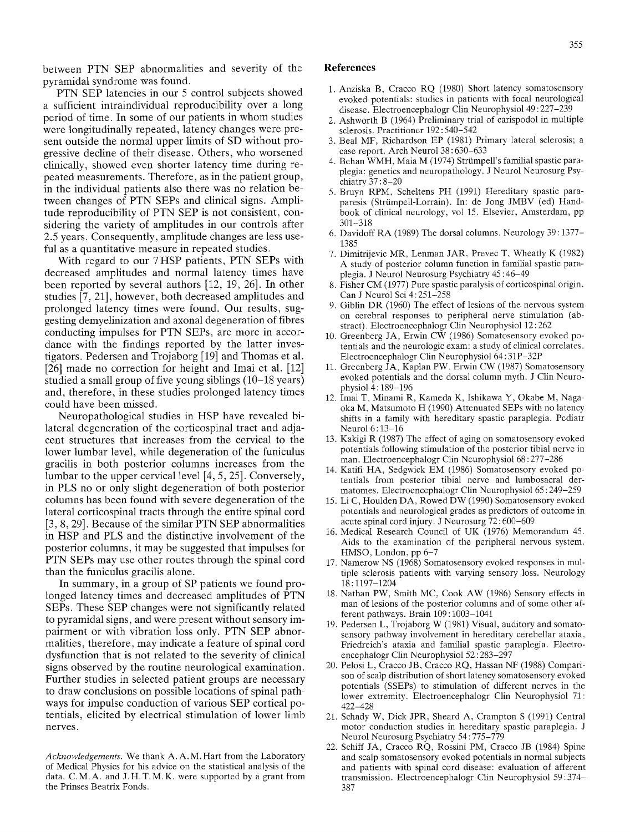between PTN SEP abnormalities and severity of the pyramidal syndrome was found.

PTN SEP latencies in our 5 control subjects showed a sufficient intraindividual reproducibility over a long period of time. In some of our patients in whom studies were longitudinally repeated, latency changes were present outside the normal upper limits of SD without progressive decline of their disease. Others, who worsened clinically, showed even shorter latency time during repeated measurements. Therefore, as in the patient group, in the individual patients also there was no relation between changes of PTN SEPs and clinical signs. Amplitude reproducibility of PTN SEP is not consistent, considering the variety of amplitudes in our controls after 2.5 years. Consequently, amplitude changes are less useful as a quantitative measure in repeated studies.

With regard to our 7HSP patients, PTN SEPs with decreased amplitudes and normal latency times have been reported by several authors [12, 19, 26]. In other studies [7, 21], however, both decreased amplitudes and prolonged latency times were found. Our results, suggesting demyelinization and axonal degeneration of fibres conducting impulses for PTN SEPs, are more in accordance with the findings reported by the latter investigators. Pedersen and Trojaborg [19] and Thomas et al. [26] made no correction for height and Imai et al. [12] studied a small group of five young siblings (10-18 years) and, therefore, in these studies prolonged latency times could have been missed.

Neuropathological studies in HSP have revealed bilateral degeneration of the corticospinal tract and adjacent structures that increases from the cervical to the lower lumbar level, while degeneration of the funiculus gracilis in both posterior columns increases from the lumbar to the upper cervical level [4, 5, 25]. Conversely, in PLS no or only slight degeneration of both posterior columns has been found with severe degeneration of the lateral corticospinal tracts through the entire spinal cord [3, 8, 29]. Because of the similar PTN SEP abnormalities in HSP and PLS and the distinctive involvement of the posterior columns, it may be suggested that impulses for PTN SEPs may use other routes through the spinal cord than the funiculus gracilis alone.

In summary, in a group of SP patients we found prolonged latency times and decreased amplitudes of PTN SEPs. These SEP changes were not significantly related to pyramidal signs, and were present without sensory impairment or with vibration loss only. PTN SEP abnormalities, therefore, may indicate a feature of spinal cord dysfunction that is not related to the severity of clinical signs observed by the routine neurological examination. Further studies in selected patient groups are necessary to draw conclusions on possible locations of spinal pathways for impulse conduction of various SEP cortical potentials, elicited by electrical stimulation of lower limb nerves.

*Acknowledgements.* We thank A. A. M. Hart from the Laboratory of Medical Physics for his advice on the statistical analysis of the data. C. M.A. and J. H. T. M. K. were supported by a grant from the Prinses Beatrix Fonds.

### **References**

- 1. Anziska B, Cracco RQ (1980) Short latency somatosensory evoked potentials: studies in patients with focal neurological disease. Electroencephalogr Clin Neurophysiol 49 : 227-239
- 2. Ashworth B (1964) Preliminary trial of carispodol in multiple sclerosis, Practitioner 192 : 540-542
- 3. Beal MF, Richardson EP (1981) Primary lateral sclerosis; a case report. Arch Neurol 38 : 630-633
- 4. Behan WMH, Maia M (1974) Strümpell's familial spastic paraplegia: genetics and neuropathology. J Neurol Neurosurg Psychiatry 37 : 8-20
- 5. Bruyn RPM, Scheltens PH (1991) Hereditary spastic paraparesis (Strümpell-Lorrain). In: de Jong JMBV (ed) Handbook of clinical neurology, vol 15. Elsevier, Amsterdam, pp 301-318
- 6. Davidoff RA (1989) The dorsal columns. Neurology 39 : 1377- 1385
- 7. Dimitrijevic MR, Lenman JAR, Prevec T, Wheatly K (1982) A study of posterior column function in familial spastic paraplegia. J Neurol Neurosurg Psychiatry 45 : 46-49
- 8. Fisher CM (1977) Pure spastic paralysis of corticospinal origin. Can J Neurol Sci 4 : 251-258
- 9. Giblin DR (1960) The effect of lesions of the nervous system on cerebral responses to peripheral nerve stimulation (abstract). Electroencephalogr Clin Neurophysiol 12 : 262
- 10. Greenberg JA, Erwin CW (1986) Somatosensory evoked potentials and the neurologic exam: a study of clinical correlates. Electroencephalogr Clin Neurophysiol 64 : 31P-32P
- 11. Greenberg JA, Kaplan PW, Erwin CW (1987) Somatosensory evoked potentials and the dorsal column myth. J Clin Neurophysiol 4 : 189-196
- 12. Imai T, Minami R, Kameda K, Ishikawa Y, Okabe M, Nagaoka M, Matsumoto H (1990) Attenuated SEPs with no latency shifts in a family with hereditary spastic paraplegia. Pediatr Neurol  $6:13-16$
- 13. Kakigi R (1987) The effect of aging on somatosensory evoked potentials following stimulation of the posterior tibial nerve in man. Electroencephalogr Clin Neurophysiol 68 : 277-286
- 14. Katifi HA, Sedgwick EM (1986) Somatosensory evoked potentials from posterior tibial nerve and lumbosacral dermatomes. Electroencephalogr Clin Neurophysiol 65 : 249-259
- 15. Li C, Houlden DA, Rowed DW (1990) Somatosensory evoked potentials and neurological grades as predictors of outcome in acute spinal cord injury. J Neurosurg 72 : 600-609
- 16. Medical Research Council of UK (1976) Memorandum 45. Aids to the examination of the peripheral nervous system. HMSO, London, pp 6-7
- 17. Namerow NS (1968) Somatosensory evoked responses in multiple sclerosis patients with varying sensory loss. Neurology 18:1197-1204
- 18. Nathan PW, Smith MC, Cook AW (1986) Sensory effects in man of lesions of the posterior columns and of some other afferent pathways. Brain 109 : 1003-1041
- 19. Pedersen L, Trojaborg W (1981) Visual, auditory and somatosensory pathway involvement in hereditary cerebellar ataxia, Friedreich's ataxia and familial spastic paraplegia. Electroencephalogr Clin Neurophysiol 52:283-297
- 20. Pelosi L, Cracco JB, Cracco RQ, Hassan NF (1988) Comparison of scalp distribution of short latency somatosensory evoked potentials (SSEPs) to stimulation of different nerves in the lower extremity. Electroencephalogr Clin Neurophysiol 71: 422-428
- 21. Schady W, Dick JPR, Sheard A, Crampton S (1991) Central motor conduction studies in hereditary spastic paraplegia. J Neurol Neurosurg Psychiatry 54 : 775-779
- 22. Schiff JA, Cracco RQ, Rossini PM, Cracco JB (1984) Spine and scalp somatosensory evoked potentials in normal subjects and patients with spinal cord disease: evaluation of afferent transmission. Electroencephalogr Clin Neurophysiol 59:374- 387